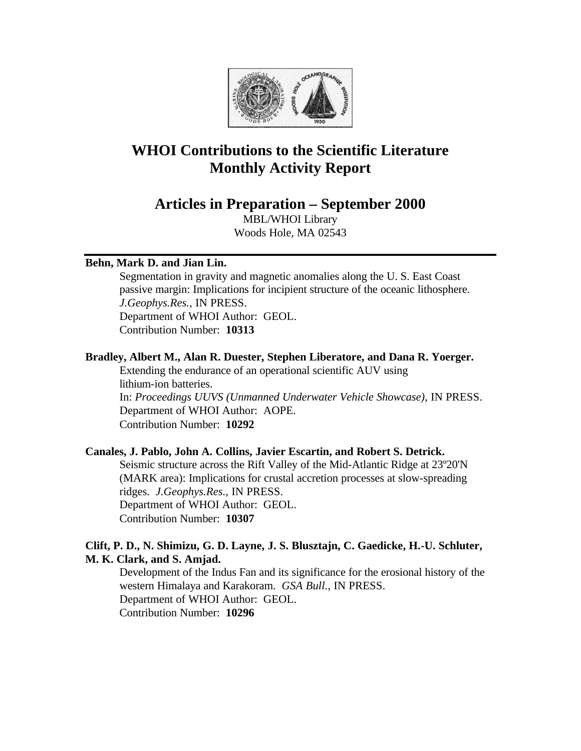

# **WHOI Contributions to the Scientific Literature Monthly Activity Report**

**Articles in Preparation – September 2000**

MBL/WHOI Library Woods Hole, MA 02543

# **Behn, Mark D. and Jian Lin.**

Segmentation in gravity and magnetic anomalies along the U. S. East Coast passive margin: Implications for incipient structure of the oceanic lithosphere. *J.Geophys.Res.*, IN PRESS. Department of WHOI Author: GEOL. Contribution Number: **10313**

## **Bradley, Albert M., Alan R. Duester, Stephen Liberatore, and Dana R. Yoerger.**

Extending the endurance of an operational scientific AUV using lithium-ion batteries. In: *Proceedings UUVS (Unmanned Underwater Vehicle Showcase)*, IN PRESS. Department of WHOI Author: AOPE. Contribution Number: **10292**

## **Canales, J. Pablo, John A. Collins, Javier Escartin, and Robert S. Detrick.**

Seismic structure across the Rift Valley of the Mid-Atlantic Ridge at 23º20'N (MARK area): Implications for crustal accretion processes at slow-spreading ridges. *J.Geophys.Res.*, IN PRESS. Department of WHOI Author: GEOL. Contribution Number: **10307**

# **Clift, P. D., N. Shimizu, G. D. Layne, J. S. Blusztajn, C. Gaedicke, H.-U. Schluter, M. K. Clark, and S. Amjad.**

Development of the Indus Fan and its significance for the erosional history of the western Himalaya and Karakoram. *GSA Bull.*, IN PRESS. Department of WHOI Author: GEOL. Contribution Number: **10296**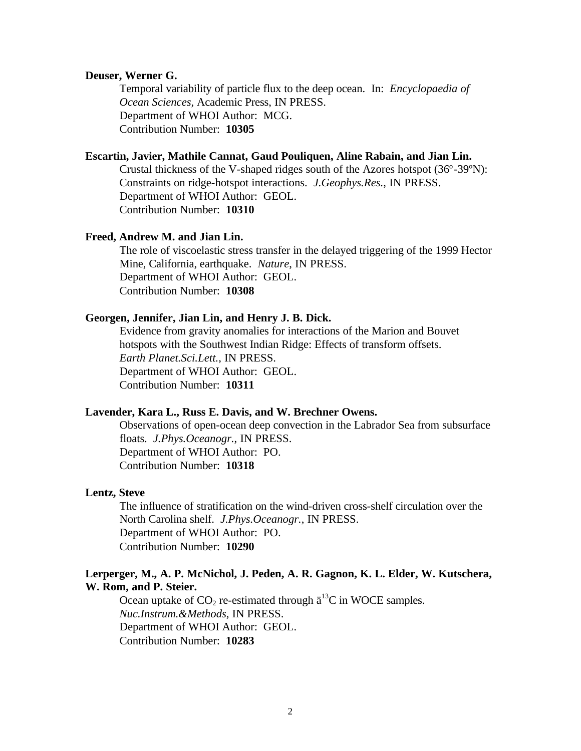### **Deuser, Werner G.**

Temporal variability of particle flux to the deep ocean. In: *Encyclopaedia of Ocean Sciences,* Academic Press, IN PRESS. Department of WHOI Author: MCG. Contribution Number: **10305**

# **Escartin, Javier, Mathile Cannat, Gaud Pouliquen, Aline Rabain, and Jian Lin.**

Crustal thickness of the V-shaped ridges south of the Azores hotspot (36º-39ºN): Constraints on ridge-hotspot interactions. *J.Geophys.Res.*, IN PRESS. Department of WHOI Author: GEOL. Contribution Number: **10310**

#### **Freed, Andrew M. and Jian Lin.**

The role of viscoelastic stress transfer in the delayed triggering of the 1999 Hector Mine, California, earthquake. *Nature*, IN PRESS. Department of WHOI Author: GEOL. Contribution Number: **10308**

## **Georgen, Jennifer, Jian Lin, and Henry J. B. Dick.**

Evidence from gravity anomalies for interactions of the Marion and Bouvet hotspots with the Southwest Indian Ridge: Effects of transform offsets. *Earth Planet.Sci.Lett.*, IN PRESS. Department of WHOI Author: GEOL. Contribution Number: **10311**

# **Lavender, Kara L., Russ E. Davis, and W. Brechner Owens.**

Observations of open-ocean deep convection in the Labrador Sea from subsurface floats. *J.Phys.Oceanogr.*, IN PRESS. Department of WHOI Author: PO. Contribution Number: **10318**

## **Lentz, Steve**

The influence of stratification on the wind-driven cross-shelf circulation over the North Carolina shelf. *J.Phys.Oceanogr.*, IN PRESS. Department of WHOI Author: PO. Contribution Number: **10290**

# **Lerperger, M., A. P. McNichol, J. Peden, A. R. Gagnon, K. L. Elder, W. Kutschera, W. Rom, and P. Steier.**

Ocean uptake of  $CO_2$  re-estimated through  $\ddot{a}^{13}$ C in WOCE samples. *Nuc.Instrum.&Methods*, IN PRESS. Department of WHOI Author: GEOL. Contribution Number: **10283**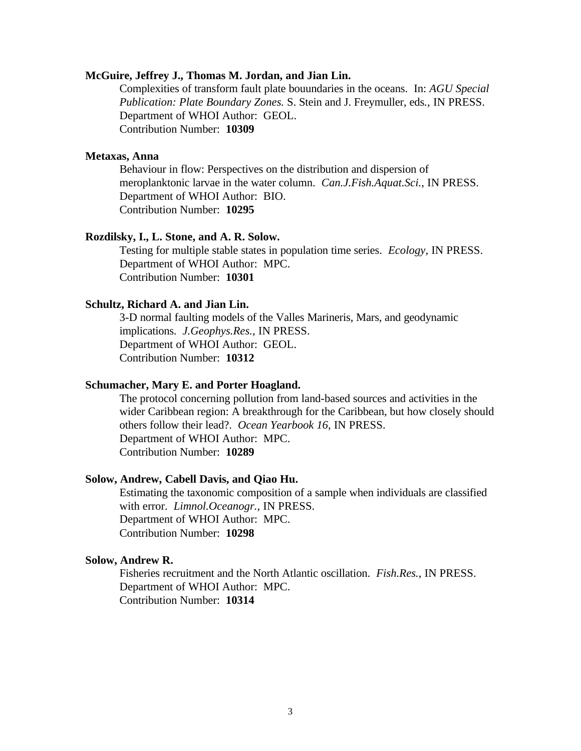### **McGuire, Jeffrey J., Thomas M. Jordan, and Jian Lin.**

Complexities of transform fault plate bouundaries in the oceans. In: *AGU Special Publication: Plate Boundary Zones.* S. Stein and J. Freymuller, eds*.*, IN PRESS. Department of WHOI Author: GEOL. Contribution Number: **10309**

## **Metaxas, Anna**

Behaviour in flow: Perspectives on the distribution and dispersion of meroplanktonic larvae in the water column. *Can.J.Fish.Aquat.Sci.*, IN PRESS. Department of WHOI Author: BIO. Contribution Number: **10295**

#### **Rozdilsky, I., L. Stone, and A. R. Solow.**

Testing for multiple stable states in population time series. *Ecology*, IN PRESS. Department of WHOI Author: MPC. Contribution Number: **10301**

## **Schultz, Richard A. and Jian Lin.**

3-D normal faulting models of the Valles Marineris, Mars, and geodynamic implications. *J.Geophys.Res.*, IN PRESS. Department of WHOI Author: GEOL. Contribution Number: **10312**

## **Schumacher, Mary E. and Porter Hoagland.**

The protocol concerning pollution from land-based sources and activities in the wider Caribbean region: A breakthrough for the Caribbean, but how closely should others follow their lead?. *Ocean Yearbook 16*, IN PRESS. Department of WHOI Author: MPC. Contribution Number: **10289**

## **Solow, Andrew, Cabell Davis, and Qiao Hu.**

Estimating the taxonomic composition of a sample when individuals are classified with error. *Limnol.Oceanogr.*, IN PRESS. Department of WHOI Author: MPC. Contribution Number: **10298**

## **Solow, Andrew R.**

Fisheries recruitment and the North Atlantic oscillation. *Fish.Res.*, IN PRESS. Department of WHOI Author: MPC. Contribution Number: **10314**